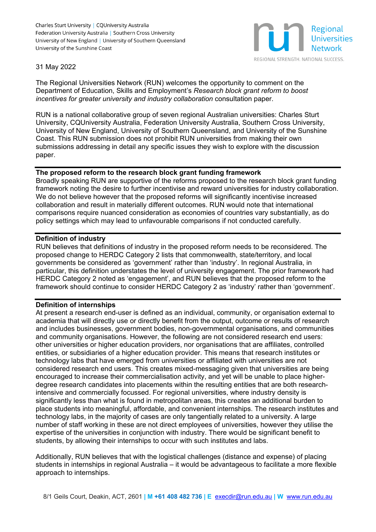Charles Sturt University | COUniversity Australia Federation University Australia | Southern Cross University University of New England | University of Southern Queensland University of the Sunshine Coast



#### 31 May 2022

The Regional Universities Network (RUN) welcomes the opportunity to comment on the Department of Education, Skills and Employment's *Research block grant reform to boost incentives for greater university and industry collaboration* consultation paper.

RUN is a national collaborative group of seven regional Australian universities: Charles Sturt University, CQUniversity Australia, Federation University Australia, Southern Cross University, University of New England, University of Southern Queensland, and University of the Sunshine Coast. This RUN submission does not prohibit RUN universities from making their own submissions addressing in detail any specific issues they wish to explore with the discussion paper.

### **The proposed reform to the research block grant funding framework**

Broadly speaking RUN are supportive of the reforms proposed to the research block grant funding framework noting the desire to further incentivise and reward universities for industry collaboration. We do not believe however that the proposed reforms will significantly incentivise increased collaboration and result in materially different outcomes. RUN would note that international comparisons require nuanced consideration as economies of countries vary substantially, as do policy settings which may lead to unfavourable comparisons if not conducted carefully.

### **Definition of industry**

RUN believes that definitions of industry in the proposed reform needs to be reconsidered. The proposed change to HERDC Category 2 lists that commonwealth, state/territory, and local governments be considered as 'government' rather than 'industry'. In regional Australia, in particular, this definition understates the level of university engagement. The prior framework had HERDC Category 2 noted as 'engagement', and RUN believes that the proposed reform to the framework should continue to consider HERDC Category 2 as 'industry' rather than 'government'.

#### **Definition of internships**

At present a research end-user is defined as an individual, community, or organisation external to academia that will directly use or directly benefit from the output, outcome or results of research and includes businesses, government bodies, non-governmental organisations, and communities and community organisations. However, the following are not considered research end users: other universities or higher education providers, nor organisations that are affiliates, controlled entities, or subsidiaries of a higher education provider. This means that research institutes or technology labs that have emerged from universities or affiliated with universities are not considered research end users. This creates mixed-messaging given that universities are being encouraged to increase their commercialisation activity, and yet will be unable to place higherdegree research candidates into placements within the resulting entities that are both researchintensive and commercially focussed. For regional universities, where industry density is significantly less than what is found in metropolitan areas, this creates an additional burden to place students into meaningful, affordable, and convenient internships. The research institutes and technology labs, in the majority of cases are only tangentially related to a university. A large number of staff working in these are not direct employees of universities, however they utilise the expertise of the universities in conjunction with industry. There would be significant benefit to students, by allowing their internships to occur with such institutes and labs.

Additionally, RUN believes that with the logistical challenges (distance and expense) of placing students in internships in regional Australia – it would be advantageous to facilitate a more flexible approach to internships.